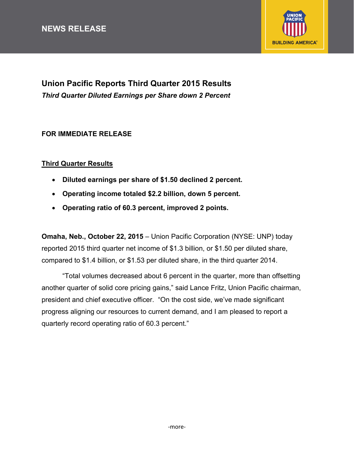# **NEWS RELEASE**



# **Union Pacific Reports Third Quarter 2015 Results**  *Third Quarter Diluted Earnings per Share down 2 Percent*

### **FOR IMMEDIATE RELEASE**

### **Third Quarter Results**

- **Diluted earnings per share of \$1.50 declined 2 percent.**
- **Operating income totaled \$2.2 billion, down 5 percent.**
- **Operating ratio of 60.3 percent, improved 2 points.**

**Omaha, Neb., October 22, 2015** – Union Pacific Corporation (NYSE: UNP) today reported 2015 third quarter net income of \$1.3 billion, or \$1.50 per diluted share, compared to \$1.4 billion, or \$1.53 per diluted share, in the third quarter 2014.

"Total volumes decreased about 6 percent in the quarter, more than offsetting another quarter of solid core pricing gains," said Lance Fritz, Union Pacific chairman, president and chief executive officer. "On the cost side, we've made significant progress aligning our resources to current demand, and I am pleased to report a quarterly record operating ratio of 60.3 percent."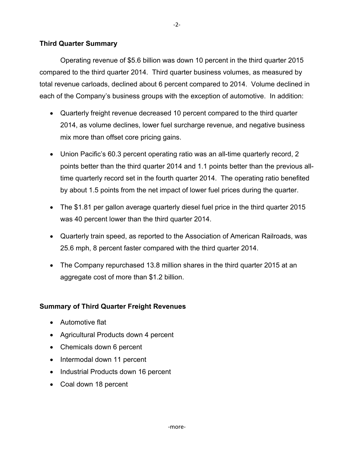### **Third Quarter Summary**

 Operating revenue of \$5.6 billion was down 10 percent in the third quarter 2015 compared to the third quarter 2014. Third quarter business volumes, as measured by total revenue carloads, declined about 6 percent compared to 2014. Volume declined in each of the Company's business groups with the exception of automotive. In addition:

- Quarterly freight revenue decreased 10 percent compared to the third quarter 2014, as volume declines, lower fuel surcharge revenue, and negative business mix more than offset core pricing gains.
- Union Pacific's 60.3 percent operating ratio was an all-time quarterly record, 2 points better than the third quarter 2014 and 1.1 points better than the previous alltime quarterly record set in the fourth quarter 2014. The operating ratio benefited by about 1.5 points from the net impact of lower fuel prices during the quarter.
- The \$1.81 per gallon average quarterly diesel fuel price in the third quarter 2015 was 40 percent lower than the third quarter 2014.
- Quarterly train speed, as reported to the Association of American Railroads, was 25.6 mph, 8 percent faster compared with the third quarter 2014.
- The Company repurchased 13.8 million shares in the third quarter 2015 at an aggregate cost of more than \$1.2 billion.

### **Summary of Third Quarter Freight Revenues**

- Automotive flat
- Agricultural Products down 4 percent
- Chemicals down 6 percent
- Intermodal down 11 percent
- Industrial Products down 16 percent
- Coal down 18 percent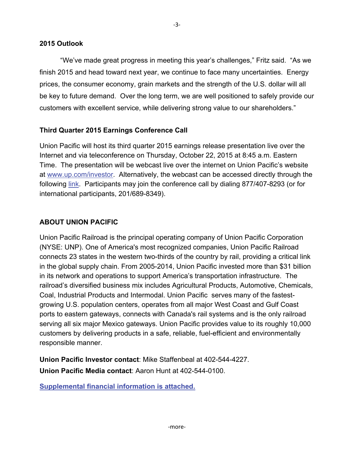"We've made great progress in meeting this year's challenges," Fritz said. "As we finish 2015 and head toward next year, we continue to face many uncertainties. Energy prices, the consumer economy, grain markets and the strength of the U.S. dollar will all be key to future demand. Over the long term, we are well positioned to safely provide our customers with excellent service, while delivering strong value to our shareholders."

# **Third Quarter 2015 Earnings Conference Call**

Union Pacific will host its third quarter 2015 earnings release presentation live over the Internet and via teleconference on Thursday, October 22, 2015 at 8:45 a.m. Eastern Time. The presentation will be webcast live over the internet on Union Pacific's website at www.up.com/investor. Alternatively, the webcast can be accessed directly through the following [link](http://services.choruscall.com/links/unp151022). Participants may join the conference call by dialing 877/407-8293 (or for international participants, 201/689-8349).

# **ABOUT UNION PACIFIC**

Union Pacific Railroad is the principal operating company of Union Pacific Corporation (NYSE: UNP). One of America's most recognized companies, Union Pacific Railroad connects 23 states in the western two-thirds of the country by rail, providing a critical link in the global supply chain. From 2005-2014, Union Pacific invested more than \$31 billion in its network and operations to support America's transportation infrastructure. The railroad's diversified business mix includes Agricultural Products, Automotive, Chemicals, Coal, Industrial Products and Intermodal. Union Pacific serves many of the fastestgrowing U.S. population centers, operates from all major West Coast and Gulf Coast ports to eastern gateways, connects with Canada's rail systems and is the only railroad serving all six major Mexico gateways. Union Pacific provides value to its roughly 10,000 customers by delivering products in a safe, reliable, fuel-efficient and environmentally responsible manner.

**Union Pacific Investor contact**: Mike Staffenbeal at 402-544-4227. **Union Pacific Media contact**: Aaron Hunt at 402-544-0100.

**Supplemental financial information is attached.**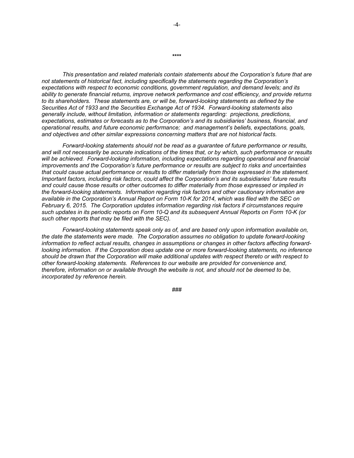*This presentation and related materials contain statements about the Corporation's future that are not statements of historical fact, including specifically the statements regarding the Corporation's expectations with respect to economic conditions, government regulation, and demand levels; and its ability to generate financial returns, improve network performance and cost efficiency, and provide returns to its shareholders. These statements are, or will be, forward-looking statements as defined by the Securities Act of 1933 and the Securities Exchange Act of 1934. Forward-looking statements also generally include, without limitation, information or statements regarding: projections, predictions, expectations, estimates or forecasts as to the Corporation's and its subsidiaries' business, financial, and operational results, and future economic performance; and management's beliefs, expectations, goals, and objectives and other similar expressions concerning matters that are not historical facts.* 

*Forward-looking statements should not be read as a guarantee of future performance or results, and will not necessarily be accurate indications of the times that, or by which, such performance or results will be achieved. Forward-looking information, including expectations regarding operational and financial improvements and the Corporation's future performance or results are subject to risks and uncertainties that could cause actual performance or results to differ materially from those expressed in the statement. Important factors, including risk factors, could affect the Corporation's and its subsidiaries' future results and could cause those results or other outcomes to differ materially from those expressed or implied in the forward-looking statements. Information regarding risk factors and other cautionary information are available in the Corporation's Annual Report on Form 10-K for 2014, which was filed with the SEC on February 6, 2015. The Corporation updates information regarding risk factors if circumstances require such updates in its periodic reports on Form 10-Q and its subsequent Annual Reports on Form 10-K (or such other reports that may be filed with the SEC).* 

*Forward-looking statements speak only as of, and are based only upon information available on, the date the statements were made. The Corporation assumes no obligation to update forward-looking information to reflect actual results, changes in assumptions or changes in other factors affecting forwardlooking information. If the Corporation does update one or more forward-looking statements, no inference should be drawn that the Corporation will make additional updates with respect thereto or with respect to other forward-looking statements. References to our website are provided for convenience and, therefore, information on or available through the website is not, and should not be deemed to be, incorporated by reference herein.* 

###

**\*\*\*\***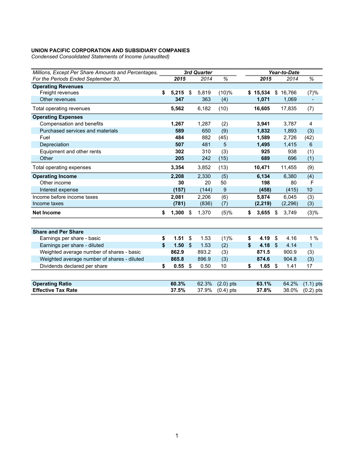*Condensed Consolidated Statements of Income (unaudited)* 

| Millions, Except Per Share Amounts and Percentages, |                  |               | 3rd Quarter |             | Year-to-Date |            |               |          |                          |
|-----------------------------------------------------|------------------|---------------|-------------|-------------|--------------|------------|---------------|----------|--------------------------|
| For the Periods Ended September 30,                 | 2015             |               | 2014        | $\%$        |              | 2015       |               | 2014     | $\%$                     |
| <b>Operating Revenues</b>                           |                  |               |             |             |              |            |               |          |                          |
| Freight revenues                                    | \$<br>5,215      | \$            | 5,819       | (10)%       |              | \$15,534   |               | \$16,766 | (7)%                     |
| Other revenues                                      | 347              |               | 363         | (4)         |              | 1,071      |               | 1,069    | $\overline{\phantom{a}}$ |
| Total operating revenues                            | 5,562            |               | 6,182       | (10)        |              | 16,605     |               | 17,835   | (7)                      |
| <b>Operating Expenses</b>                           |                  |               |             |             |              |            |               |          |                          |
| Compensation and benefits                           | 1,267            |               | 1,287       | (2)         |              | 3,941      |               | 3,787    | 4                        |
| Purchased services and materials                    | 589              |               | 650         | (9)         |              | 1,832      |               | 1,893    | (3)                      |
| Fuel                                                | 484              |               | 882         | (45)        |              | 1,589      |               | 2,726    | (42)                     |
| Depreciation                                        | 507              |               | 481         | 5           |              | 1,495      |               | 1,415    | 6                        |
| Equipment and other rents                           | 302              |               | 310         | (3)         |              | 925        |               | 938      | (1)                      |
| Other                                               | 205              |               | 242         | (15)        |              | 689        |               | 696      | (1)                      |
| Total operating expenses                            | 3,354            |               | 3,852       | (13)        |              | 10,471     |               | 11,455   | (9)                      |
| <b>Operating Income</b>                             | 2,208            |               | 2,330       | (5)         |              | 6,134      |               | 6,380    | (4)                      |
| Other income                                        | 30               |               | 20          | 50          |              | 198        |               | 80       | $\mathsf{F}$             |
| Interest expense                                    | (157)            |               | (144)       | 9           |              | (458)      |               | (415)    | 10                       |
| Income before income taxes                          | 2,081            |               | 2,206       | (6)         |              | 5,874      |               | 6,045    | (3)                      |
| Income taxes                                        | (781)            |               | (836)       | (7)         |              | (2, 219)   |               | (2, 296) | (3)                      |
| <b>Net Income</b>                                   | \$<br>$1,300$ \$ |               | 1,370       | (5)%        | \$           | $3,655$ \$ |               | 3,749    | (3)%                     |
|                                                     |                  |               |             |             |              |            |               |          |                          |
| <b>Share and Per Share</b>                          |                  |               |             |             |              |            |               |          |                          |
| Earnings per share - basic                          | \$<br>1.51       | \$            | 1.53        | (1)%        | \$           | 4.19       | \$            | 4.16     | 1%                       |
| Earnings per share - diluted                        | \$<br>1.50       | $\mathcal{L}$ | 1.53        | (2)         | \$           | 4.18       | $\mathbf{\$}$ | 4.14     | $\mathbf{1}$             |
| Weighted average number of shares - basic           | 862.9            |               | 893.2       | (3)         |              | 871.5      |               | 900.9    | (3)                      |
| Weighted average number of shares - diluted         | 865.8            |               | 896.9       | (3)         |              | 874.6      |               | 904.8    | (3)                      |
| Dividends declared per share                        | \$<br>$0.55$ \$  |               | 0.50        | 10          | \$           | 1.65       | - \$          | 1.41     | 17                       |
|                                                     |                  |               |             |             |              |            |               |          |                          |
| <b>Operating Ratio</b>                              | 60.3%            |               | 62.3%       | $(2.0)$ pts |              | 63.1%      |               | 64.2%    | $(1.1)$ pts              |
| <b>Effective Tax Rate</b>                           | 37.5%            |               | 37.9%       | $(0.4)$ pts |              | 37.8%      |               | 38.0%    | $(0.2)$ pts              |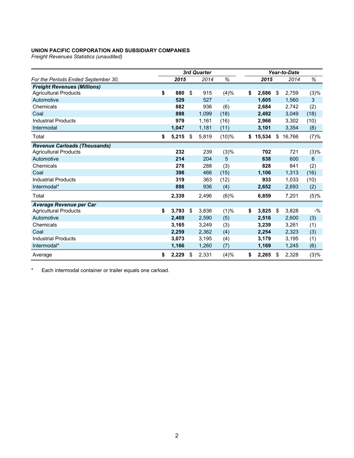*Freight Revenues Statistics (unaudited)* 

|                                     | 3rd Quarter |       |    |       |       |    | Year-to-Date |     |        |       |  |
|-------------------------------------|-------------|-------|----|-------|-------|----|--------------|-----|--------|-------|--|
| For the Periods Ended September 30, |             | 2015  |    | 2014  | %     |    | 2015         |     | 2014   | %     |  |
| <b>Freight Revenues (Millions)</b>  |             |       |    |       |       |    |              |     |        |       |  |
| <b>Agricultural Products</b>        | \$          | 880   | \$ | 915   | (4)%  | \$ | 2,686        | \$  | 2,759  | (3)%  |  |
| Automotive                          |             | 529   |    | 527   |       |    | 1,605        |     | 1,560  | 3     |  |
| Chemicals                           |             | 882   |    | 936   | (6)   |    | 2,684        |     | 2,742  | (2)   |  |
| Coal                                |             | 898   |    | 1,099 | (18)  |    | 2,492        |     | 3,049  | (18)  |  |
| <b>Industrial Products</b>          |             | 979   |    | 1,161 | (16)  |    | 2,966        |     | 3,302  | (10)  |  |
| Intermodal                          |             | 1,047 |    | 1,181 | (11)  |    | 3,101        |     | 3,354  | (8)   |  |
| Total                               | \$          | 5,215 | \$ | 5,819 | (10)% | \$ | 15,534       | \$  | 16,766 | (7)%  |  |
| <b>Revenue Carloads (Thousands)</b> |             |       |    |       |       |    |              |     |        |       |  |
| <b>Agricultural Products</b>        |             | 232   |    | 239   | (3)%  |    | 702          |     | 721    | (3)%  |  |
| Automotive                          |             | 214   |    | 204   | 5     |    | 638          |     | 600    | 6     |  |
| Chemicals                           |             | 278   |    | 288   | (3)   |    | 828          |     | 841    | (2)   |  |
| Coal                                |             | 398   |    | 466   | (15)  |    | 1,106        |     | 1,313  | (16)  |  |
| <b>Industrial Products</b>          |             | 319   |    | 363   | (12)  |    | 933          |     | 1,033  | (10)  |  |
| Intermodal*                         |             | 898   |    | 936   | (4)   |    | 2,652        |     | 2,693  | (2)   |  |
| Total                               |             | 2,339 |    | 2,496 | (6)%  |    | 6,859        |     | 7,201  | (5)%  |  |
| <b>Average Revenue per Car</b>      |             |       |    |       |       |    |              |     |        |       |  |
| <b>Agricultural Products</b>        | \$          | 3,793 | \$ | 3,836 | (1)%  | \$ | 3,825        | -\$ | 3,828  | $-$ % |  |
| Automotive                          |             | 2,469 |    | 2,590 | (5)   |    | 2,516        |     | 2,600  | (3)   |  |
| Chemicals                           |             | 3,165 |    | 3,249 | (3)   |    | 3,239        |     | 3,261  | (1)   |  |
| Coal                                |             | 2,259 |    | 2,362 | (4)   |    | 2,254        |     | 2,323  | (3)   |  |
| <b>Industrial Products</b>          |             | 3,073 |    | 3,195 | (4)   |    | 3,179        |     | 3,195  | (1)   |  |
| Intermodal*                         |             | 1,166 |    | 1,260 | (7)   |    | 1,169        |     | 1,245  | (6)   |  |
| Average                             | \$          | 2,229 | \$ | 2,331 | (4)%  | \$ | 2,265        | \$  | 2,328  | (3)%  |  |

\* Each intermodal container or trailer equals one carload.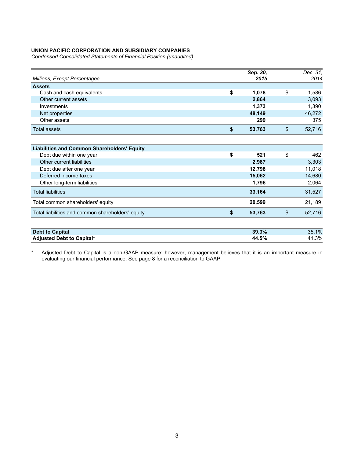*Condensed Consolidated Statements of Financial Position (unaudited)* 

| <b>Millions, Except Percentages</b> |    | Sep. 30,<br>2015 | Dec. 31.<br>2014 |
|-------------------------------------|----|------------------|------------------|
| <b>Assets</b>                       |    |                  |                  |
| Cash and cash equivalents           | \$ | 1,078            | \$<br>1,586      |
| Other current assets                |    | 2,864            | 3,093            |
| Investments                         |    | 1,373            | 1,390            |
| Net properties                      |    | 48,149           | 46,272           |
| Other assets                        |    | 299              | 375              |
| Total assets                        | S  | 53,763           | \$<br>52,716     |
|                                     |    |                  |                  |

| <b>Liabilities and Common Shareholders' Equity</b> |           |              |
|----------------------------------------------------|-----------|--------------|
| Debt due within one year                           | \$<br>521 | \$<br>462    |
| Other current liabilities                          | 2,987     | 3,303        |
| Debt due after one year                            | 12,798    | 11,018       |
| Deferred income taxes                              | 15,062    | 14,680       |
| Other long-term liabilities                        | 1,796     | 2,064        |
| <b>Total liabilities</b>                           | 33.164    | 31,527       |
| Total common shareholders' equity                  | 20,599    | 21.189       |
| Total liabilities and common shareholders' equity  | 53,763    | \$<br>52,716 |
| <b>Debt to Capital</b>                             | 39.3%     | 35.1%        |
| Adjusted Debt to Capital*                          | 44.5%     | 41.3%        |

\* Adjusted Debt to Capital is a non-GAAP measure; however, management believes that it is an important measure in evaluating our financial performance. See page 8 for a reconciliation to GAAP.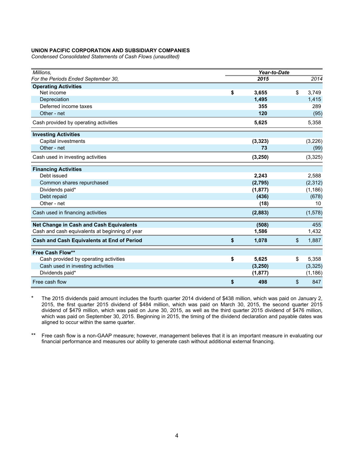*Condensed Consolidated Statements of Cash Flows (unaudited)* 

| Millions.                                         |             | Year-to-Date   |          |
|---------------------------------------------------|-------------|----------------|----------|
| For the Periods Ended September 30,               | 2015        |                | 2014     |
| <b>Operating Activities</b>                       |             |                |          |
| Net income                                        | \$<br>3,655 | \$             | 3,749    |
| Depreciation                                      | 1,495       |                | 1,415    |
| Deferred income taxes                             | 355         |                | 289      |
| Other - net                                       | 120         |                | (95)     |
| Cash provided by operating activities             | 5,625       |                | 5,358    |
| <b>Investing Activities</b>                       |             |                |          |
| Capital investments                               | (3, 323)    |                | (3,226)  |
| Other - net                                       | 73          |                | (99)     |
| Cash used in investing activities                 | (3, 250)    |                | (3, 325) |
| <b>Financing Activities</b>                       |             |                |          |
| Debt issued                                       | 2,243       |                | 2,588    |
| Common shares repurchased                         | (2,795)     |                | (2, 312) |
| Dividends paid*                                   | (1, 877)    |                | (1, 186) |
| Debt repaid                                       | (436)       |                | (678)    |
| Other - net                                       | (18)        |                | 10       |
| Cash used in financing activities                 | (2,883)     |                | (1, 578) |
| Net Change in Cash and Cash Equivalents           | (508)       |                | 455      |
| Cash and cash equivalents at beginning of year    | 1,586       |                | 1,432    |
| <b>Cash and Cash Equivalents at End of Period</b> | \$<br>1,078 | $\mathfrak{L}$ | 1,887    |
| <b>Free Cash Flow**</b>                           |             |                |          |
| Cash provided by operating activities             | \$<br>5,625 | \$             | 5,358    |
| Cash used in investing activities                 | (3, 250)    |                | (3, 325) |
| Dividends paid*                                   | (1, 877)    |                | (1, 186) |
| Free cash flow                                    | \$<br>498   | \$             | 847      |

\* The 2015 dividends paid amount includes the fourth quarter 2014 dividend of \$438 million, which was paid on January 2, 2015, the first quarter 2015 dividend of \$484 million, which was paid on March 30, 2015, the second quarter 2015 dividend of \$479 million, which was paid on June 30, 2015, as well as the third quarter 2015 dividend of \$476 million, which was paid on September 30, 2015. Beginning in 2015, the timing of the dividend declaration and payable dates was aligned to occur within the same quarter.

\*\* Free cash flow is a non-GAAP measure; however, management believes that it is an important measure in evaluating our financial performance and measures our ability to generate cash without additional external financing.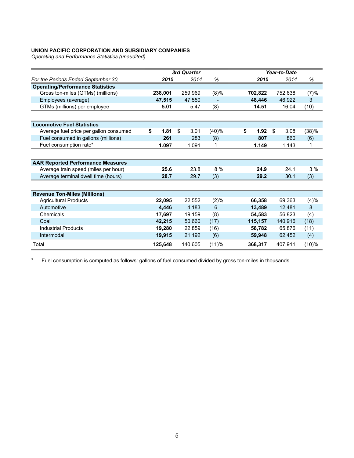*Operating and Performance Statistics (unaudited)* 

|                                          |            | 3rd Quarter |       | Year-to-Date |            |       |  |  |
|------------------------------------------|------------|-------------|-------|--------------|------------|-------|--|--|
| For the Periods Ended September 30,      | 2015       | 2014        | %     | 2015         | 2014       | %     |  |  |
| <b>Operating/Performance Statistics</b>  |            |             |       |              |            |       |  |  |
| Gross ton-miles (GTMs) (millions)        | 238,001    | 259,969     | (8)%  | 702,822      | 752,638    | (7)%  |  |  |
| Employees (average)                      | 47,515     | 47,550      |       | 48,446       | 46,922     | 3     |  |  |
| GTMs (millions) per employee             | 5.01       | 5.47        | (8)   | 14.51        | 16.04      | (10)  |  |  |
|                                          |            |             |       |              |            |       |  |  |
| <b>Locomotive Fuel Statistics</b>        |            |             |       |              |            |       |  |  |
| Average fuel price per gallon consumed   | \$<br>1.81 | \$<br>3.01  | (40)% | \$<br>1.92   | \$<br>3.08 | (38)% |  |  |
| Fuel consumed in gallons (millions)      | 261        | 283         | (8)   | 807          | 860        | (6)   |  |  |
| Fuel consumption rate*                   | 1.097      | 1.091       | 1     | 1.149        | 1.143      | 1     |  |  |
|                                          |            |             |       |              |            |       |  |  |
| <b>AAR Reported Performance Measures</b> |            |             |       |              |            |       |  |  |
| Average train speed (miles per hour)     | 25.6       | 23.8        | 8 %   | 24.9         | 24.1       | 3%    |  |  |
| Average terminal dwell time (hours)      | 28.7       | 29.7        | (3)   | 29.2         | 30.1       | (3)   |  |  |
|                                          |            |             |       |              |            |       |  |  |
| <b>Revenue Ton-Miles (Millions)</b>      |            |             |       |              |            |       |  |  |
| <b>Agricultural Products</b>             | 22,095     | 22,552      | (2)%  | 66,358       | 69,363     | (4)%  |  |  |
| Automotive                               | 4,446      | 4,183       | 6     | 13,489       | 12,481     | 8     |  |  |
| Chemicals                                | 17,697     | 19,159      | (8)   | 54,583       | 56,823     | (4)   |  |  |
| Coal                                     | 42,215     | 50,660      | (17)  | 115,157      | 140,916    | (18)  |  |  |
| <b>Industrial Products</b>               | 19.280     | 22.859      | (16)  | 58.782       | 65.876     | (11)  |  |  |
| Intermodal                               | 19,915     | 21,192      | (6)   | 59,948       | 62,452     | (4)   |  |  |
| Total                                    | 125.648    | 140.605     | (11)% | 368.317      | 407.911    | (10)% |  |  |

\* Fuel consumption is computed as follows: gallons of fuel consumed divided by gross ton-miles in thousands.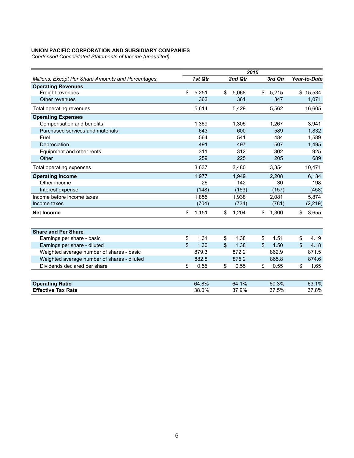*Condensed Consolidated Statements of Income (unaudited)* 

|                                                     | 2015 |         |    |         |  |                       |              |
|-----------------------------------------------------|------|---------|----|---------|--|-----------------------|--------------|
| Millions, Except Per Share Amounts and Percentages, |      | 1st Qtr |    | 2nd Qtr |  | 3rd Qtr               | Year-to-Date |
| <b>Operating Revenues</b>                           |      |         |    |         |  |                       |              |
| Freight revenues                                    | \$   | 5,251   | \$ | 5,068   |  | \$<br>5,215           | \$15,534     |
| Other revenues                                      |      | 363     |    | 361     |  | 347                   | 1,071        |
| Total operating revenues                            |      | 5,614   |    | 5,429   |  | 5,562                 | 16,605       |
| <b>Operating Expenses</b>                           |      |         |    |         |  |                       |              |
| Compensation and benefits                           |      | 1,369   |    | 1,305   |  | 1,267                 | 3,941        |
| Purchased services and materials                    |      | 643     |    | 600     |  | 589                   | 1,832        |
| Fuel                                                |      | 564     |    | 541     |  | 484                   | 1,589        |
| Depreciation                                        |      | 491     |    | 497     |  | 507                   | 1,495        |
| Equipment and other rents                           |      | 311     |    | 312     |  | 302                   | 925          |
| Other                                               |      | 259     |    | 225     |  | 205                   | 689          |
| Total operating expenses                            |      | 3,637   |    | 3,480   |  | 3,354                 | 10,471       |
| <b>Operating Income</b>                             |      | 1,977   |    | 1,949   |  | 2,208                 | 6,134        |
| Other income                                        |      | 26      |    | 142     |  | 30                    | 198          |
| Interest expense                                    |      | (148)   |    | (153)   |  | (157)                 | (458)        |
| Income before income taxes                          |      | 1,855   |    | 1,938   |  | 2,081                 | 5,874        |
| Income taxes                                        |      | (704)   |    | (734)   |  | (781)                 | (2, 219)     |
| <b>Net Income</b>                                   | \$   | 1,151   | \$ | 1,204   |  | \$<br>1,300           | \$<br>3,655  |
|                                                     |      |         |    |         |  |                       |              |
| <b>Share and Per Share</b>                          |      |         |    |         |  |                       |              |
| Earnings per share - basic                          | \$   | 1.31    | \$ | 1.38    |  | 1.51<br>\$            | \$<br>4.19   |
| Earnings per share - diluted                        | \$   | 1.30    | \$ | 1.38    |  | $\mathcal{S}$<br>1.50 | \$<br>4.18   |
| Weighted average number of shares - basic           |      | 879.3   |    | 872.2   |  | 862.9                 | 871.5        |
| Weighted average number of shares - diluted         |      | 882.8   |    | 875.2   |  | 865.8                 | 874.6        |
| Dividends declared per share                        | \$   | 0.55    | \$ | 0.55    |  | \$<br>0.55            | \$<br>1.65   |
|                                                     |      |         |    |         |  |                       |              |
| <b>Operating Ratio</b>                              |      | 64.8%   |    | 64.1%   |  | 60.3%                 | 63.1%        |
| <b>Effective Tax Rate</b>                           |      | 38.0%   |    | 37.9%   |  | 37.5%                 | 37.8%        |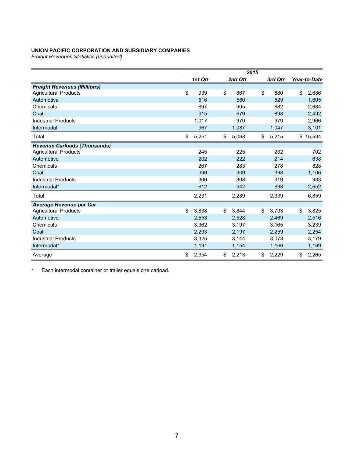*Freight Revenues Statistics (unaudited)* 

|                                     | 2015 |         |    |         |    |         |              |
|-------------------------------------|------|---------|----|---------|----|---------|--------------|
|                                     |      | 1st Qtr |    | 2nd Qtr |    | 3rd Qtr | Year-to-Date |
| <b>Freight Revenues (Millions)</b>  |      |         |    |         |    |         |              |
| <b>Agricultural Products</b>        | \$   | 939     | \$ | 867     | \$ | 880     | \$<br>2,686  |
| Automotive                          |      | 516     |    | 560     |    | 529     | 1,605        |
| Chemicals                           |      | 897     |    | 905     |    | 882     | 2,684        |
| Coal                                |      | 915     |    | 679     |    | 898     | 2,492        |
| <b>Industrial Products</b>          |      | 1,017   |    | 970     |    | 979     | 2,966        |
| Intermodal                          |      | 967     |    | 1,087   |    | 1,047   | 3,101        |
| Total                               | \$   | 5,251   | \$ | 5,068   | \$ | 5,215   | \$<br>15,534 |
| <b>Revenue Carloads (Thousands)</b> |      |         |    |         |    |         |              |
| <b>Agricultural Products</b>        |      | 245     |    | 225     |    | 232     | 702          |
| Automotive                          |      | 202     |    | 222     |    | 214     | 638          |
| Chemicals                           |      | 267     |    | 283     |    | 278     | 828          |
| Coal                                |      | 399     |    | 309     |    | 398     | 1,106        |
| <b>Industrial Products</b>          |      | 306     |    | 308     |    | 319     | 933          |
| Intermodal*                         |      | 812     |    | 942     |    | 898     | 2,652        |
| Total                               |      | 2,231   |    | 2,289   |    | 2,339   | 6,859        |
| <b>Average Revenue per Car</b>      |      |         |    |         |    |         |              |
| <b>Agricultural Products</b>        | \$   | 3,838   | \$ | 3,844   | \$ | 3,793   | \$<br>3,825  |
| Automotive                          |      | 2,553   |    | 2,528   |    | 2,469   | 2,516        |
| Chemicals                           |      | 3,362   |    | 3,197   |    | 3,165   | 3,239        |
| Coal                                |      | 2,293   |    | 2,197   |    | 2,259   | 2,254        |
| <b>Industrial Products</b>          |      | 3,325   |    | 3,144   |    | 3,073   | 3,179        |
| Intermodal*                         |      | 1,191   |    | 1,154   |    | 1,166   | 1,169        |
| Average                             | \$   | 2,354   | \$ | 2,213   | \$ | 2,229   | \$<br>2,265  |

\* Each intermodal container or trailer equals one carload.